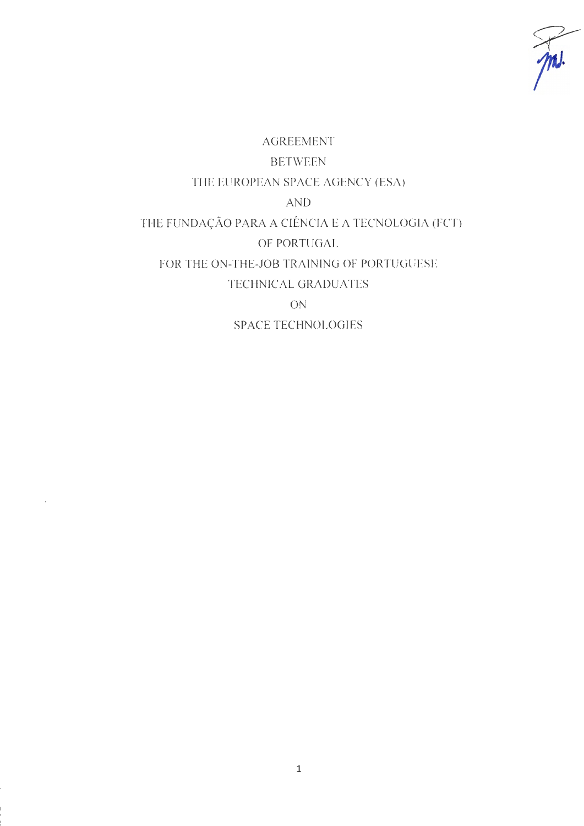

AGREEMENT **BETWEEN** THE EUROPEAN SPACE AGENCY (ESA) AND THE FUNDAÇÃO PARA A CIÊNCIA E A TECNOLOGIA (FCT) OF PORTUGAL FOR THE ON-THE-JOB TRAINING OF PORTUGUESE TECHNICAL GRADUATES ON SPACE TECHNOLOGIES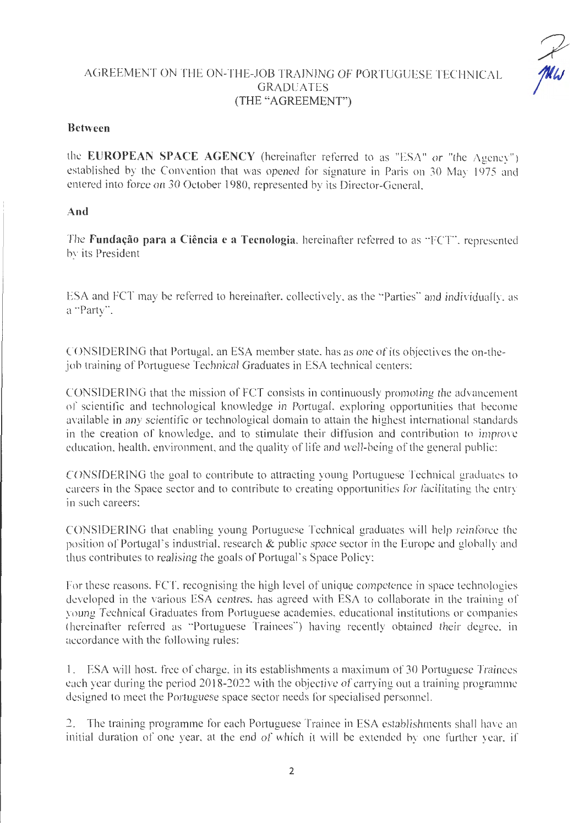

## AGREEMENT ON THE ON-THE-JOB TRAINING OF PORTUGUESE TECHNICAL **GRADUATES** (THE "AGREEMENT")

## **Between**

the EUROPEAN SPACE AGENCY (hereinafter referred to as "ESA" or "the Agenev") established by the Convention that was opened for signature in Paris on 30 May 1975 and entered into force on 30 October 1980, represented by its Director-General,

## And

The Fundação para a Ciência e a Tecnologia, hereinafter referred to as "FCT", represented by its President

ESA and FCT may be referred to hereinafter, collectively, as the "Parties" and individually, as a "Party".

CONSIDERING that Portugal, an ESA member state, has as one of its objectives the on-thejob training of Portuguese Technical Graduates in ESA technical centers:

CONSIDERING that the mission of FCT consists in continuously promoting the advancement of scientific and technological knowledge in Portugal, exploring opportunities that become available in any scientific or technological domain to attain the highest international standards in the creation of knowledge, and to stimulate their diffusion and contribution to improve education, health, environment, and the quality of life and well-being of the general public:

CONSIDERING the goal to contribute to attracting young Portuguese Technical graduates to careers in the Space sector and to contribute to creating opportunities for facilitating the entry in such careers:

CONSIDERING that enabling young Portuguese Technical graduates will help reinforce the position of Portugal's industrial, research & public space sector in the Europe and globally and thus contributes to realising the goals of Portugal's Space Policy.

For these reasons. FCT, recognising the high level of unique competence in space technologies developed in the various ESA centres, has agreed with ESA to collaborate in the training of voung Technical Graduates from Portuguese academies, educational institutions or companies (hereinafter referred as "Portuguese Trainees") having recently obtained their degree, in accordance with the following rules:

1. ESA will host, free of charge, in its establishments a maximum of 30 Portuguese Trainees each year during the period 2018-2022 with the objective of carrying out a training programme designed to meet the Portuguese space sector needs for specialised personnel.

2. The training programme for each Portuguese Trainee in ESA establishments shall have an initial duration of one year, at the end of which it will be extended by one further year, if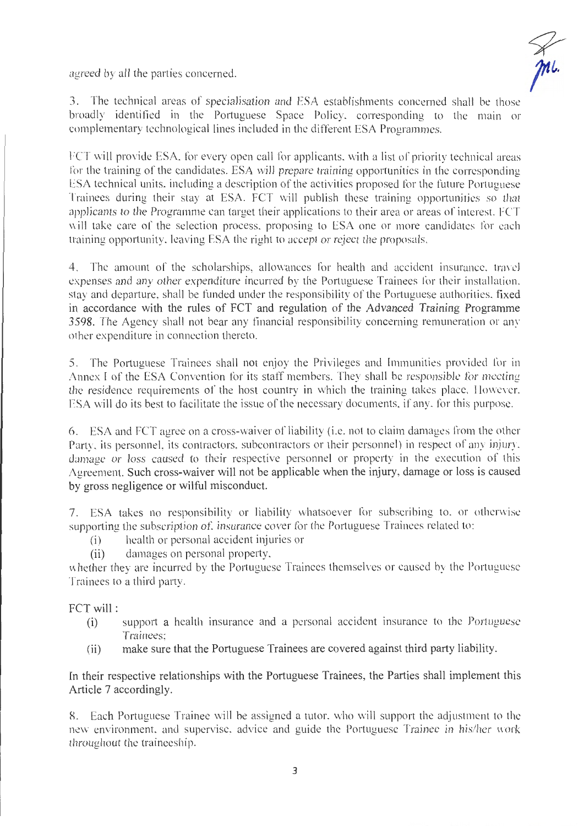agreed by all the parties concerned.



3. The technical areas of specialisation and ESA establishments concerned shall be those broadly identified in the Portuguese Space Policy, corresponding to the main or complementary technological lines included in the different ESA Programmes.

FCT will provide ESA, for every open call for applicants, with a list of priority technical areas for the training of the candidates. ESA will prepare training opportunities in the corresponding ESA technical units, including a description of the activities proposed for the future Portuguese Trainees during their stay at ESA. FCT will publish these training opportunities so that applicants to the Programme can target their applications to their area or areas of interest. FCT will take care of the selection process, proposing to ESA one or more candidates for each training opportunity, leaving ESA the right to accept or reject the proposals.

4. The amount of the scholarships, allowances for health and accident insurance, travel expenses and any other expenditure incurred by the Portuguese Trainees for their installation. stay and departure, shall be funded under the responsibility of the Portuguese authorities, fixed in accordance with the rules of FCT and regulation of the Advanced Training Programme 3598. The Agency shall not bear any financial responsibility concerning remuneration or any other expenditure in connection thereto.

5. The Portuguese Trainees shall not enjoy the Privileges and Immunities provided for in Annex I of the ESA Convention for its staff members. They shall be responsible for meeting the residence requirements of the host country in which the training takes place. However. ESA will do its best to facilitate the issue of the necessary documents, if any, for this purpose.

6. ESA and FCT agree on a cross-waiver of liability (i.e. not to claim damages from the other Party, its personnel, its contractors, subcontractors or their personnel) in respect of any injury. dumage or loss caused to their respective personnel or property in the execution of this Agreement. Such cross-waiver will not be applicable when the injury, damage or loss is caused by gross negligence or wilful misconduct.

7. ESA takes no responsibility or liability whatsoever for subscribing to. or otherwise supporting the subscription of. insurance cover for the Portuguese Trainees related to:

- $(i)$  health or personal accident injuries or
- (ii) damages on personal property,

whether they are incurred by the Portuguese Trainces themselves or caused by the Portuguese Trainees to a third party.

FCT will:

- (i) suppoti a health insurance and a personal accident insurance to the Portuguese Trainees;
- (ii) make sure that the Portuguese Trainees are covered against third party liability.

In their respective relationships with the Portuguese Trainees, the Parties shall implement this Article 7 accordingly.

8. Each Portuguese Trainee will be assigned a tutor, who will support the adjustment to the new environment, and supervise. advice and guide the Portuguese Trainee in his/her work throughout the traineeship.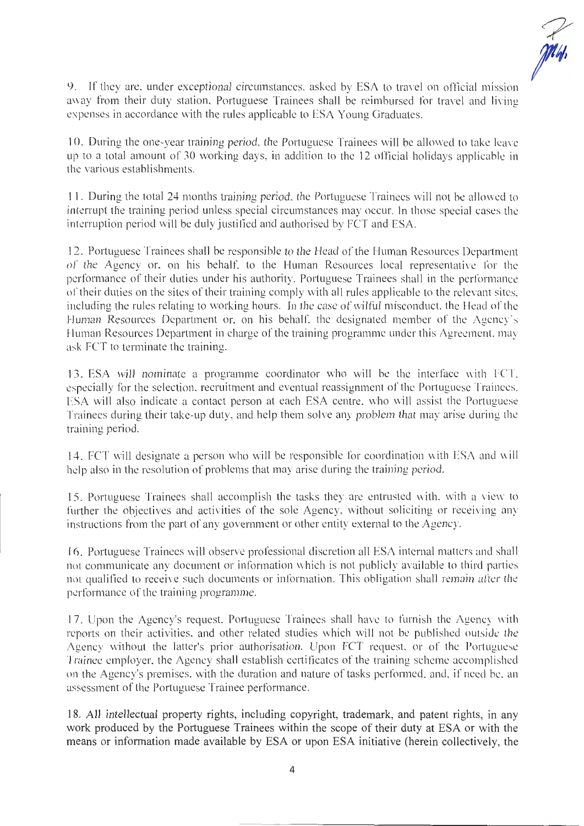

9. If they are. under exceptional circumstances. asked by ESA to travel on official mission away from their duty station, Portuguese Trainees shall be reimbursed for travel and living expenses in accordance with the rules applicable to ESA Young Graduates.

10. During the one-year training period, the Portuguese Trainees will be allowed to take leave up to a total amount of 30 working days, in addition to the 12 official holidays applicable in the various establishments.

I J. During the total 24 months training period. the Portuguese Trainees wi ll not be allowed to interrupt the training period unless special circumstances may occur. In those special cases the interruption period will be duly justified and authorised by FCT and ESA.

12. Portuguese Trainees shall be responsible to the Head of the Human Resources Department or the Agency or. on his behalf, to the Human Resources local representative for the performance of their duties under his authority. Portuguese Trainees shall in the performance of their duties on the sites of their training comply with all rules applicable to the re levant sites. including the rules relating to working hours. In the case of wilful misconduct, the Head of the Human Resources Department or, on his behalf, the designated member of the Agency's Human Resources Department in charge of the training programme under this Agreement, may ask FCT to terminate the training.

13. ESA will nominate a programme coordinator who will be the interface with FCT, especially for the selection. recruitment and eventual reassignment of the Portuguese Trainees. ESA will also indicate a contact person at each ESA centre, who will assist the Portuguese Trainees during their take-up duty, and help them solve any problem that may arise during the training period.

14. FCT will designate a person who will be responsible for coordination with ESA and will help also in the resolution of problems that may arise during the training period.

15. Portuguese Trainees shall accomplish the tasks they are entrusted with, with a view to further the objectives and activities of the sole Agency, without soliciting or receiving any instructions from the part of any government or other entity external to the Agency.

16. Portuguese Trainees wi ll observe professional disc retion all ESA internal matters and shall not communicate any document or information which is not publicly available to third parties not qualified to receive such documents or information. This obligation shall remain after the performance of the training programme.

17. Upon the Agency's request, Portuguese Trainees shall have to furnish the Agency with reports on their activities. and other related studies which will not be published outside the Agency without the latter's prior authorisation. Upon FCT request, or of the Portuguese Trainee employer, the Agency shall establish certificates of the training scheme accomplished on the Agency's premises, with the duration and nature of tasks performed, and, if need be, an assessment of the Portuguese Trainee performance.

18. All intellectual property rights, including copyright, trademark, and patent rights, in any work produced by the Portuguese Trainees within the scope of their duty at ESA or with the means or information made available by ESA or upon ESA initiative (herein collectively, the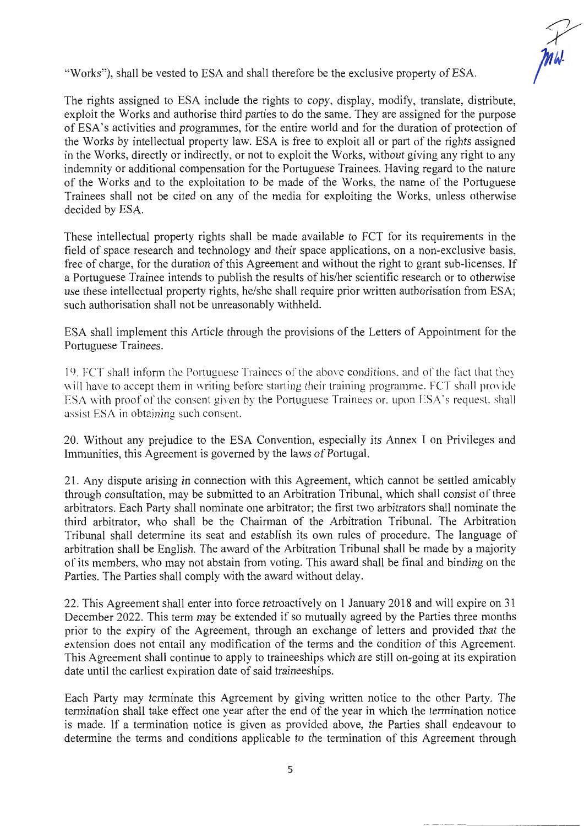"Works"), shall be vested to ESA and shall therefore be the exclusive property of ESA.

The rights assigned to ESA include the rights to copy, display, modify, translate, distribute, exploit the Works and authorise third parties to do the same. They are assigned for the purpose of ESA's activities and programmes, for the entire world and for the duration of protection of the Works by intellectual property law. ESA is free to exploit all or part of the rights assigned in the Works, directly or indirectly, or not to exploit the Works, without giving any right to any indemnity or additional compensation for the Portuguese Trainees. Having regard to the nature of the Works and to the exploitation to be made of the Works, the name of the Portuguese Trainees shall not be cited on any of the media for exploiting the Works, unless otherwise decided by ESA.

These intellectual property rights shall be made available to FCT for its requirements in the field of space research and technology and their space applications, on a non-exclusive basis, free of charge, for the duration of this Agreement and without the right to grant sub-licenses. If a Portuguese Trainee intends to publish the results of his/her scientific research or to otherwise use these intellectual property rights, he/she shall require prior written authorisation from ESA; such authorisation shall not be unreasonably withheld.

ESA shall implement this Article through the provisions of the Letters of Appointment for the Portuguese Trainees.

19. FCT shall inform the Portuguese Trainees of the above conditions, and of the fact that they will have to accept them in writing before starting their training programme. FCT shall provide ESA with proof of the consent given by the Portuguese Trainees or, upon ESA's request, shall assist ESA in obtaining such consent.

20. Without any prejudice to the ESA Convention, especially its Annex I on Privileges and Immunities, this Agreement is governed by the laws of Portugal.

21. Any dispute arising in connection with this Agreement, which cannot be settled amicably through consultation, may be submitted to an Arbitration Tribunal, which shall consist of three arbitrators. Each Party shall nominate one arbitrator; the first two arbitrators shall nominate the third arbitrator, who shall be the Chairman of the Arbitration Tribunal. The Arbitration Tribunal shall determine its seat and establish its own rules of procedure. The language of arbitration shall be English. The award of the Arbitration Tribunal shall be made by a majority of its members, who may not abstain from voting. This award shall be final and binding on the Parties. The Parties shall comply with the award without delay.

22. This Agreement shall enter into force retroactively on I January 2018 and will expire on 31 December 2022. This term may be extended if so mutually agreed by the Parties three months prior to the expiry of the Agreement, through an exchange of letters and provided that the extension does not entail any modification of the terms and the condition of this Agreement. This Agreement shall continue to apply to traineeships which are still on-going at its expiration date until the earliest expiration date of said traineeships.

Each Party may terminate this Agreement by giving written notice to the other Party. The termination shall take effect one year after the end of the year in which the termination notice is made. If a termination notice is given as provided above, the Parties shall endeavour to determine the terms and conditions applicable to the termination of this Agreement through

--~ - - --------